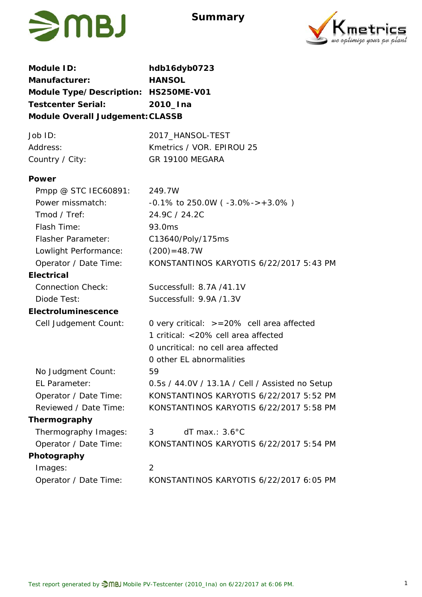

**Summary**



| Module ID:                           | hdb16dyb0723                                    |  |  |  |  |
|--------------------------------------|-------------------------------------------------|--|--|--|--|
| Manufacturer:                        | <b>HANSOL</b>                                   |  |  |  |  |
| Module Type/Description: HS250ME-V01 |                                                 |  |  |  |  |
| <b>Testcenter Serial:</b>            | 2010_Ina                                        |  |  |  |  |
| Module Overall Judgement: CLASSB     |                                                 |  |  |  |  |
| Job ID:                              | 2017_HANSOL-TEST                                |  |  |  |  |
| Address:                             | Kmetrics / VOR. EPIROU 25                       |  |  |  |  |
| Country / City:                      | GR 19100 MEGARA                                 |  |  |  |  |
| Power                                |                                                 |  |  |  |  |
| Pmpp @ STC IEC60891:                 | 249.7W                                          |  |  |  |  |
| Power missmatch:                     | $-0.1\%$ to 250.0W ( $-3.0\%$ ->+3.0%)          |  |  |  |  |
| Tmod / Tref:                         | 24.9C / 24.2C                                   |  |  |  |  |
| Flash Time:                          | 93.0ms                                          |  |  |  |  |
| <b>Flasher Parameter:</b>            | C13640/Poly/175ms                               |  |  |  |  |
| Lowlight Performance:                | $(200) = 48.7W$                                 |  |  |  |  |
| Operator / Date Time:                | KONSTANTINOS KARYOTIS 6/22/2017 5:43 PM         |  |  |  |  |
| Electrical                           |                                                 |  |  |  |  |
| <b>Connection Check:</b>             | Successfull: 8.7A /41.1V                        |  |  |  |  |
| Diode Test:                          | Successfull: 9.9A /1.3V                         |  |  |  |  |
| Electroluminescence                  |                                                 |  |  |  |  |
| Cell Judgement Count:                | 0 very critical: $> = 20\%$ cell area affected  |  |  |  |  |
|                                      | 1 critical: <20% cell area affected             |  |  |  |  |
|                                      | 0 uncritical: no cell area affected             |  |  |  |  |
|                                      | 0 other EL abnormalities                        |  |  |  |  |
| No Judgment Count:                   | 59                                              |  |  |  |  |
| EL Parameter:                        | 0.5s / 44.0V / 13.1A / Cell / Assisted no Setup |  |  |  |  |
| Operator / Date Time:                | KONSTANTINOS KARYOTIS 6/22/2017 5:52 PM         |  |  |  |  |
| Reviewed / Date Time:                | KONSTANTINOS KARYOTIS 6/22/2017 5:58 PM         |  |  |  |  |
| Thermography                         |                                                 |  |  |  |  |
| Thermography Images:                 | $dT$ max.: $3.6^{\circ}$ C<br>3                 |  |  |  |  |
| Operator / Date Time:                | KONSTANTINOS KARYOTIS 6/22/2017 5:54 PM         |  |  |  |  |
| Photography                          |                                                 |  |  |  |  |
| Images:                              | 2                                               |  |  |  |  |
| Operator / Date Time:                | KONSTANTINOS KARYOTIS 6/22/2017 6:05 PM         |  |  |  |  |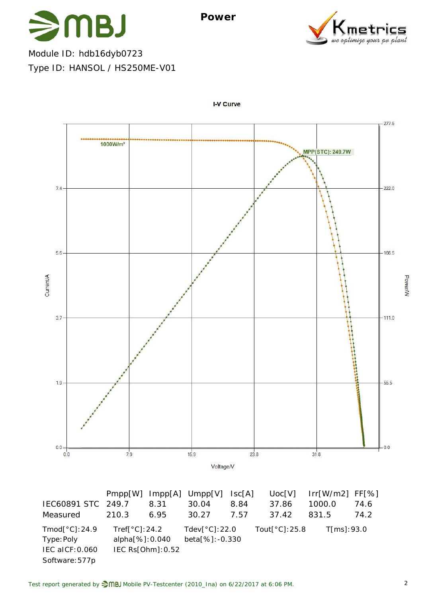

ve optimise uour

Module ID: hdb16dyb0723 Type ID: HANSOL / HS250ME-V01



I-V Curve

Software:577p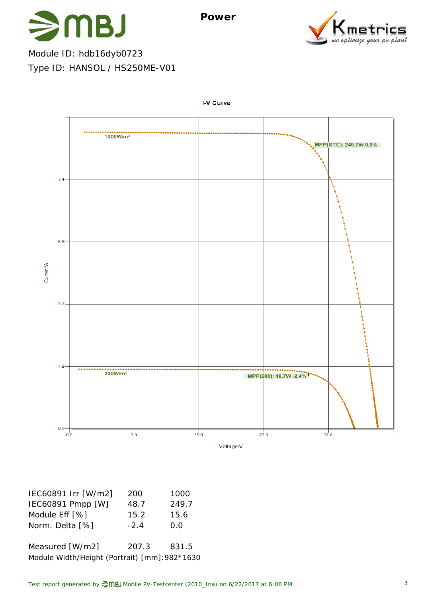

Module ID: hdb16dyb0723 Type ID: HANSOL / HS250ME-V01



**I-V Curve** 

| IEC60891 Irr [W/m2] | 200   | 1000  |
|---------------------|-------|-------|
| IEC60891 Pmpp [W]   | 48.7  | 249.7 |
| Module Eff [%]      | 15.2  | 15.6  |
| Norm. Delta [%]     | $-24$ | 0.0   |
|                     |       |       |

Measured [W/m2] 207.3 831.5 Module Width/Height (Portrait) [mm]:982\*1630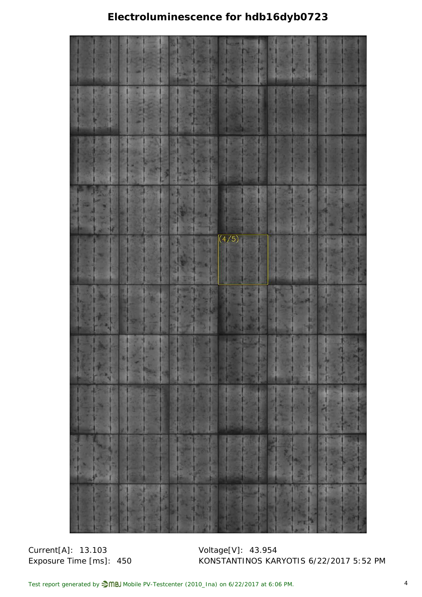## **Electroluminescence for hdb16dyb0723**



Current[A]: 13.103 Voltage[V]: 43.954

Exposure Time [ms]: 450 KONSTANTINOS KARYOTIS 6/22/2017 5:52 PM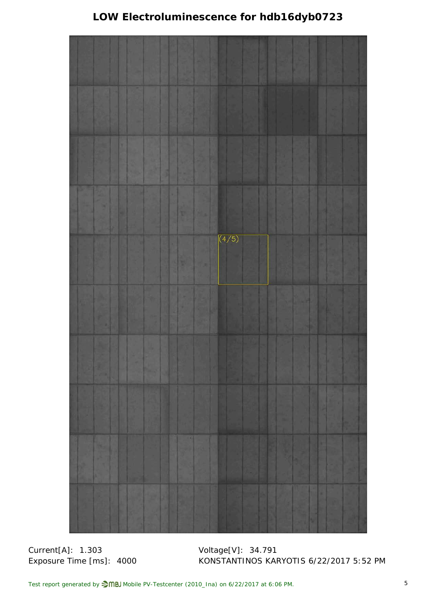## **LOW Electroluminescence for hdb16dyb0723**



Current[A]: 1.303 Voltage[V]: 34.791

Exposure Time [ms]: 4000 KONSTANTINOS KARYOTIS 6/22/2017 5:52 PM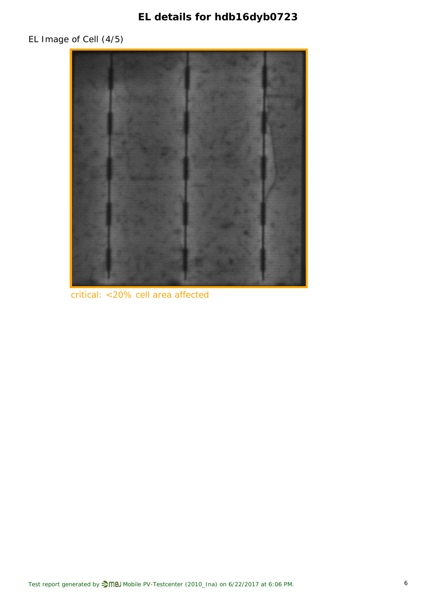**EL details for hdb16dyb0723**

## EL Image of Cell (4/5)



critical: <20% cell area affected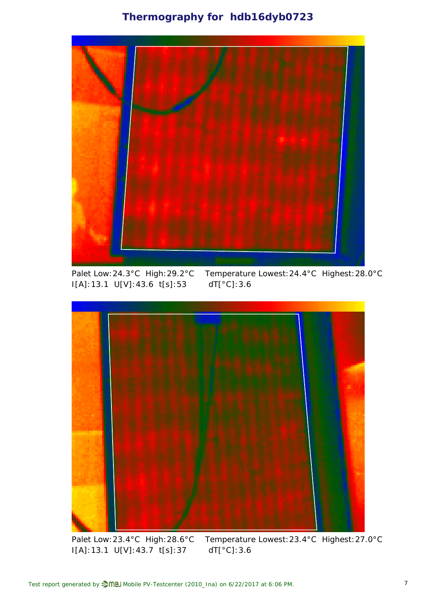### **Thermography for hdb16dyb0723**



I[A]:13.1 U[V]:43.6 t[s]:53 dT[°C]:3.6

Palet Low:24.3°C High:29.2°C Temperature Lowest:24.4°C Highest:28.0°C



Palet Low:23.4°C High:28.6°C Temperature Lowest:23.4°C Highest:27.0°C I[A]:13.1 U[V]:43.7 t[s]:37 dT[°C]:3.6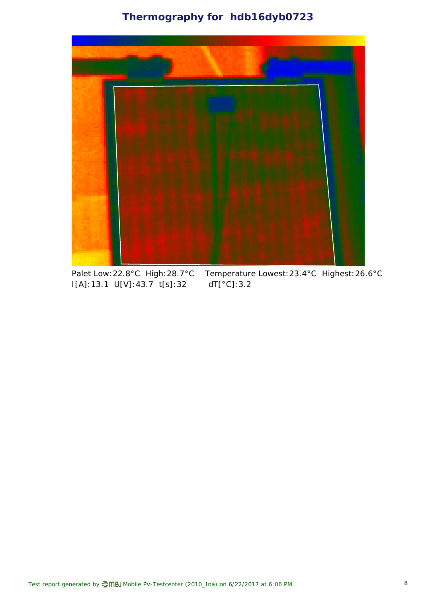**Thermography for hdb16dyb0723**



I[A]:13.1 U[V]:43.7 t[s]:32 dT[°C]:3.2

Palet Low:22.8°C High:28.7°C Temperature Lowest:23.4°C Highest:26.6°C